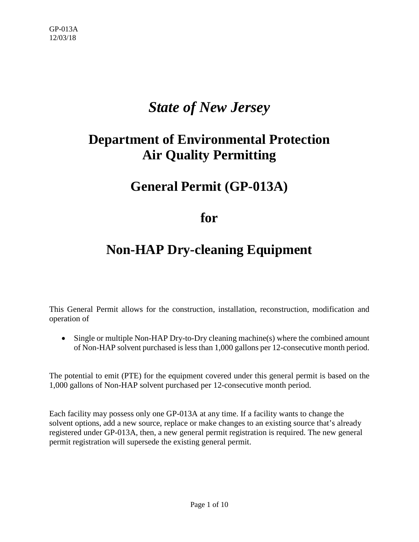## *State of New Jersey*

# **Department of Environmental Protection Air Quality Permitting**

### **General Permit (GP-013A)**

### **for**

## **Non-HAP Dry-cleaning Equipment**

This General Permit allows for the construction, installation, reconstruction, modification and operation of

• Single or multiple Non-HAP Dry-to-Dry cleaning machine(s) where the combined amount of Non-HAP solvent purchased is less than 1,000 gallons per 12-consecutive month period.

The potential to emit (PTE) for the equipment covered under this general permit is based on the 1,000 gallons of Non-HAP solvent purchased per 12-consecutive month period.

Each facility may possess only one GP-013A at any time. If a facility wants to change the solvent options, add a new source, replace or make changes to an existing source that's already registered under GP-013A, then, a new general permit registration is required. The new general permit registration will supersede the existing general permit.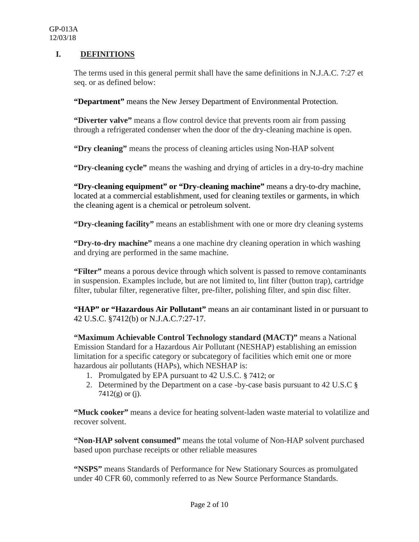#### **I. DEFINITIONS**

The terms used in this general permit shall have the same definitions in N.J.A.C. 7:27 et seq. or as defined below:

**"Department"** means the New Jersey Department of Environmental Protection.

**"Diverter valve"** means a flow control device that prevents room air from passing through a refrigerated condenser when the door of the dry-cleaning machine is open.

**"Dry cleaning"** means the process of cleaning articles using Non-HAP solvent

**"Dry-cleaning cycle"** means the washing and drying of articles in a dry-to-dry machine

**"Dry-cleaning equipment" or "Dry-cleaning machine"** means a dry-to-dry machine, located at a commercial establishment, used for cleaning textiles or garments, in which the cleaning agent is a chemical or petroleum solvent.

**"Dry-cleaning facility"** means an establishment with one or more dry cleaning systems

**"Dry-to-dry machine"** means a one machine dry cleaning operation in which washing and drying are performed in the same machine.

**"Filter"** means a porous device through which solvent is passed to remove contaminants in suspension. Examples include, but are not limited to, lint filter (button trap), cartridge filter, tubular filter, regenerative filter, pre-filter, polishing filter, and spin disc filter.

"HAP" or "Hazardous Air Pollutant" means an air contaminant listed in or pursuant to 42 U.S.C. §7412(b) or N.J.A.C.7:27-17.

**"Maximum Achievable Control Technology standard (MACT)"** means a National Emission Standard for a Hazardous Air Pollutant (NESHAP) establishing an emission limitation for a specific category or subcategory of facilities which emit one or more hazardous air pollutants (HAPs), which NESHAP is:

- 1. Promulgated by EPA pursuant to 42 U.S.C. § 7412; or
- 2. Determined by the Department on a case -by-case basis pursuant to 42 U.S.C § 7412(g) or (j).

**"Muck cooker"** means a device for heating solvent-laden waste material to volatilize and recover solvent.

**"Non-HAP solvent consumed"** means the total volume of Non-HAP solvent purchased based upon purchase receipts or other reliable measures

**"NSPS"** means Standards of Performance for New Stationary Sources as promulgated under 40 CFR 60, commonly referred to as New Source Performance Standards.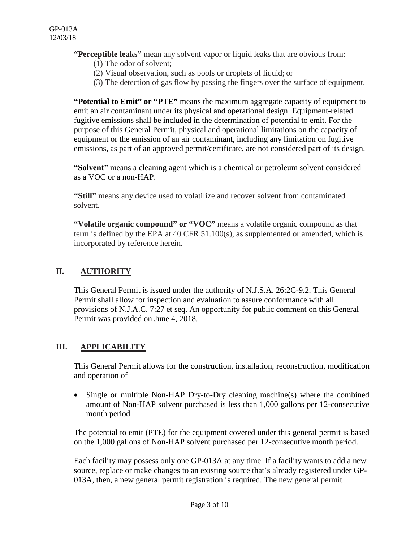#### **"Perceptible leaks"** mean any solvent vapor or liquid leaks that are obvious from:

- (1) The odor of solvent;
- (2) Visual observation, such as pools or droplets of liquid; or
- (3) The detection of gas flow by passing the fingers over the surface of equipment.

**"Potential to Emit" or "PTE"** means the maximum aggregate capacity of equipment to emit an air contaminant under its physical and operational design. Equipment-related fugitive emissions shall be included in the determination of potential to emit. For the purpose of this General Permit, physical and operational limitations on the capacity of equipment or the emission of an air contaminant, including any limitation on fugitive emissions, as part of an approved permit/certificate, are not considered part of its design.

**"Solvent"** means a cleaning agent which is a chemical or petroleum solvent considered as a VOC or a non-HAP.

**"Still"** means any device used to volatilize and recover solvent from contaminated solvent.

**"Volatile organic compound" or "VOC"** means a volatile organic compound as that term is defined by the EPA at 40 CFR 51.100(s), as supplemented or amended, which is incorporated by reference herein.

#### **II. AUTHORITY**

This General Permit is issued under the authority of N.J.S.A. 26:2C-9.2. This General Permit shall allow for inspection and evaluation to assure conformance with all provisions of N.J.A.C. 7:27 et seq. An opportunity for public comment on this General Permit was provided on June 4, 2018.

#### **III. APPLICABILITY**

This General Permit allows for the construction, installation, reconstruction, modification and operation of

• Single or multiple Non-HAP Dry-to-Dry cleaning machine(s) where the combined amount of Non-HAP solvent purchased is less than 1,000 gallons per 12-consecutive month period.

The potential to emit (PTE) for the equipment covered under this general permit is based on the 1,000 gallons of Non-HAP solvent purchased per 12-consecutive month period.

Each facility may possess only one GP-013A at any time. If a facility wants to add a new source, replace or make changes to an existing source that's already registered under GP-013A, then, a new general permit registration is required. The new general permit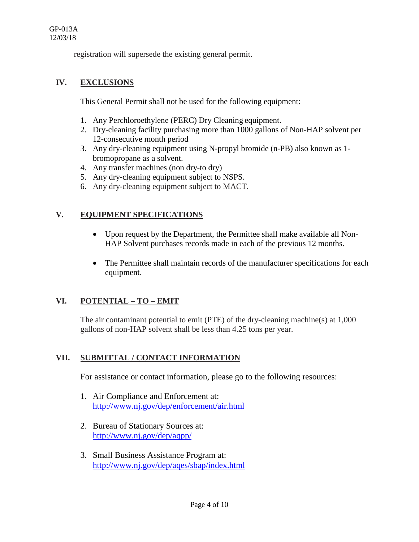registration will supersede the existing general permit.

#### **IV. EXCLUSIONS**

This General Permit shall not be used for the following equipment:

- 1. Any Perchloroethylene (PERC) Dry Cleaning equipment.
- 2. Dry-cleaning facility purchasing more than 1000 gallons of Non-HAP solvent per 12-consecutive month period
- 3. Any dry-cleaning equipment using N-propyl bromide (n-PB) also known as 1 bromopropane as a solvent.
- 4. Any transfer machines (non dry-to dry)
- 5. Any dry-cleaning equipment subject to NSPS.
- 6. Any dry-cleaning equipment subject to MACT.

#### **V. EQUIPMENT SPECIFICATIONS**

- Upon request by the Department, the Permittee shall make available all Non-HAP Solvent purchases records made in each of the previous 12 months.
- The Permittee shall maintain records of the manufacturer specifications for each equipment.

#### **VI. POTENTIAL – TO – EMIT**

The air contaminant potential to emit (PTE) of the dry-cleaning machine(s) at 1,000 gallons of non-HAP solvent shall be less than 4.25 tons per year.

#### **VII. SUBMITTAL / CONTACT INFORMATION**

For assistance or contact information, please go to the following resources:

- 1. Air Compliance and Enforcement at: <http://www.nj.gov/dep/enforcement/air.html>
- 2. Bureau of Stationary Sources at: <http://www.nj.gov/dep/aqpp/>
- 3. Small Business Assistance Program at: <http://www.nj.gov/dep/aqes/sbap/index.html>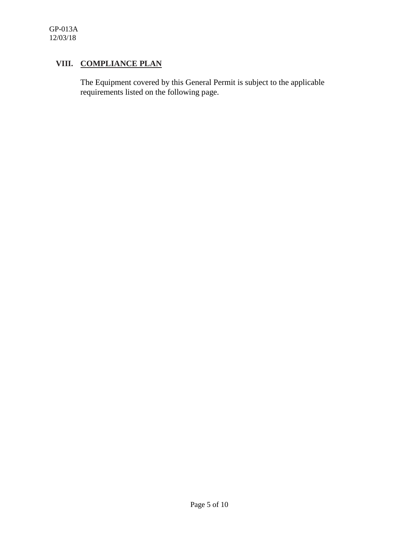#### **VIII. COMPLIANCE PLAN**

The Equipment covered by this General Permit is subject to the applicable requirements listed on the following page.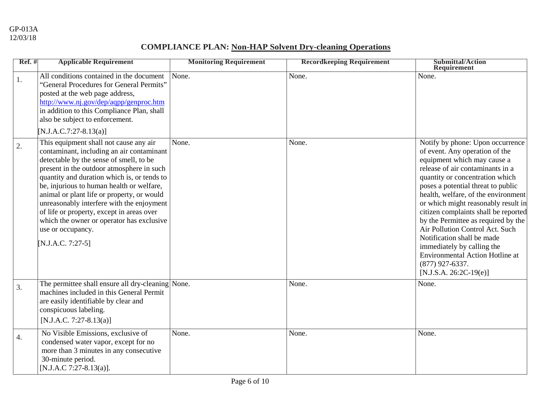### **COMPLIANCE PLAN: Non-HAP Solvent Dry-cleaning Operations**

| $Ref.$ #         | <b>Applicable Requirement</b>                                                                                                                                                                                                                                                                                                                                                                                                                                                                          | <b>Monitoring Requirement</b> | <b>Recordkeeping Requirement</b> | <b>Submittal/Action</b><br><b>Requirement</b>                                                                                                                                                                                                                                                                                                                                                                                                                                                                                                                         |
|------------------|--------------------------------------------------------------------------------------------------------------------------------------------------------------------------------------------------------------------------------------------------------------------------------------------------------------------------------------------------------------------------------------------------------------------------------------------------------------------------------------------------------|-------------------------------|----------------------------------|-----------------------------------------------------------------------------------------------------------------------------------------------------------------------------------------------------------------------------------------------------------------------------------------------------------------------------------------------------------------------------------------------------------------------------------------------------------------------------------------------------------------------------------------------------------------------|
| 1.               | All conditions contained in the document<br>"General Procedures for General Permits"<br>posted at the web page address,<br>http://www.nj.gov/dep/aqpp/genproc.htm<br>in addition to this Compliance Plan, shall<br>also be subject to enforcement.<br>[N.J.A.C.7:27-8.13(a)]                                                                                                                                                                                                                           | None.                         | None.                            | None.                                                                                                                                                                                                                                                                                                                                                                                                                                                                                                                                                                 |
| 2.               | This equipment shall not cause any air<br>contaminant, including an air contaminant<br>detectable by the sense of smell, to be<br>present in the outdoor atmosphere in such<br>quantity and duration which is, or tends to<br>be, injurious to human health or welfare,<br>animal or plant life or property, or would<br>unreasonably interfere with the enjoyment<br>of life or property, except in areas over<br>which the owner or operator has exclusive<br>use or occupancy.<br>[N.J.A.C. 7:27-5] | None.                         | None.                            | Notify by phone: Upon occurrence<br>of event. Any operation of the<br>equipment which may cause a<br>release of air contaminants in a<br>quantity or concentration which<br>poses a potential threat to public<br>health, welfare, of the environment<br>or which might reasonably result in<br>citizen complaints shall be reported<br>by the Permittee as required by the<br>Air Pollution Control Act. Such<br>Notification shall be made<br>immediately by calling the<br><b>Environmental Action Hotline at</b><br>$(877)$ 927-6337.<br>$[N.J.S.A. 26:2C-19(e)]$ |
| $\overline{3}$ . | The permittee shall ensure all dry-cleaning None.<br>machines included in this General Permit<br>are easily identifiable by clear and<br>conspicuous labeling.<br>[N.J.A.C. 7:27-8.13(a)]                                                                                                                                                                                                                                                                                                              |                               | None.                            | None.                                                                                                                                                                                                                                                                                                                                                                                                                                                                                                                                                                 |
| $\overline{4}$ . | No Visible Emissions, exclusive of<br>condensed water vapor, except for no<br>more than 3 minutes in any consecutive<br>30-minute period.<br>[N.J.A.C 7:27-8.13(a)].                                                                                                                                                                                                                                                                                                                                   | None.                         | None.                            | None.                                                                                                                                                                                                                                                                                                                                                                                                                                                                                                                                                                 |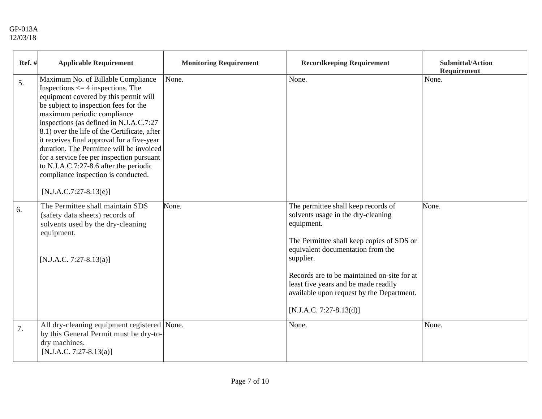| Ref. # | <b>Applicable Requirement</b>                                                                                                                                                                                                                                                                                                                                                                                                                                                                                                               | <b>Monitoring Requirement</b> | <b>Recordkeeping Requirement</b>                                                                                                                                                                                                                                                                                                                        | <b>Submittal/Action</b><br>Requirement |
|--------|---------------------------------------------------------------------------------------------------------------------------------------------------------------------------------------------------------------------------------------------------------------------------------------------------------------------------------------------------------------------------------------------------------------------------------------------------------------------------------------------------------------------------------------------|-------------------------------|---------------------------------------------------------------------------------------------------------------------------------------------------------------------------------------------------------------------------------------------------------------------------------------------------------------------------------------------------------|----------------------------------------|
| 5.     | Maximum No. of Billable Compliance<br>Inspections $\leq$ 4 inspections. The<br>equipment covered by this permit will<br>be subject to inspection fees for the<br>maximum periodic compliance<br>inspections (as defined in N.J.A.C.7:27<br>8.1) over the life of the Certificate, after<br>it receives final approval for a five-year<br>duration. The Permittee will be invoiced<br>for a service fee per inspection pursuant<br>to N.J.A.C.7:27-8.6 after the periodic<br>compliance inspection is conducted.<br>$[N.J.A.C.7:27-8.13(e)]$ | None.                         | None.                                                                                                                                                                                                                                                                                                                                                   | None.                                  |
| 6.     | The Permittee shall maintain SDS<br>(safety data sheets) records of<br>solvents used by the dry-cleaning<br>equipment.<br>$[N.J.A.C. 7:27-8.13(a)]$                                                                                                                                                                                                                                                                                                                                                                                         | None.                         | The permittee shall keep records of<br>solvents usage in the dry-cleaning<br>equipment.<br>The Permittee shall keep copies of SDS or<br>equivalent documentation from the<br>supplier.<br>Records are to be maintained on-site for at<br>least five years and be made readily<br>available upon request by the Department.<br>$[N.J.A.C. 7:27-8.13(d)]$ | None.                                  |
| 7.     | All dry-cleaning equipment registered None.<br>by this General Permit must be dry-to-<br>dry machines.<br>[N.J.A.C. 7:27-8.13(a)]                                                                                                                                                                                                                                                                                                                                                                                                           |                               | None.                                                                                                                                                                                                                                                                                                                                                   | None.                                  |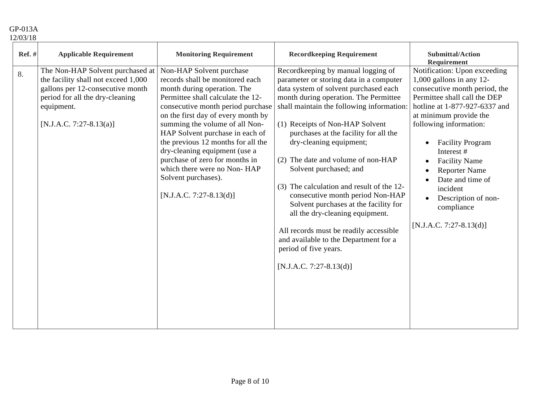#### GP-013A 12/03/18

| <b>Ref.</b> # | <b>Applicable Requirement</b>                                                                                                                                                           | <b>Monitoring Requirement</b>                                                                                                                                                                                                                                                                                                                                                                                                                                               | <b>Recordkeeping Requirement</b>                                                                                                                                                                                                                                                                                                                                                                                                                                                                                                                                                                                                                                                          | <b>Submittal/Action</b><br><b>Requirement</b>                                                                                                                                                                                                                                                                                                                                                                            |
|---------------|-----------------------------------------------------------------------------------------------------------------------------------------------------------------------------------------|-----------------------------------------------------------------------------------------------------------------------------------------------------------------------------------------------------------------------------------------------------------------------------------------------------------------------------------------------------------------------------------------------------------------------------------------------------------------------------|-------------------------------------------------------------------------------------------------------------------------------------------------------------------------------------------------------------------------------------------------------------------------------------------------------------------------------------------------------------------------------------------------------------------------------------------------------------------------------------------------------------------------------------------------------------------------------------------------------------------------------------------------------------------------------------------|--------------------------------------------------------------------------------------------------------------------------------------------------------------------------------------------------------------------------------------------------------------------------------------------------------------------------------------------------------------------------------------------------------------------------|
| 8.            | The Non-HAP Solvent purchased at<br>the facility shall not exceed 1,000<br>gallons per 12-consecutive month<br>period for all the dry-cleaning<br>equipment.<br>[N.J.A.C. 7:27-8.13(a)] | Non-HAP Solvent purchase<br>records shall be monitored each<br>month during operation. The<br>Permittee shall calculate the 12-<br>consecutive month period purchase<br>on the first day of every month by<br>summing the volume of all Non-<br>HAP Solvent purchase in each of<br>the previous 12 months for all the<br>dry-cleaning equipment (use a<br>purchase of zero for months in<br>which there were no Non-HAP<br>Solvent purchases).<br>$[N.J.A.C. 7:27-8.13(d)]$ | Recordkeeping by manual logging of<br>parameter or storing data in a computer<br>data system of solvent purchased each<br>month during operation. The Permittee<br>shall maintain the following information:<br>(1) Receipts of Non-HAP Solvent<br>purchases at the facility for all the<br>dry-cleaning equipment;<br>(2) The date and volume of non-HAP<br>Solvent purchased; and<br>(3) The calculation and result of the 12-<br>consecutive month period Non-HAP<br>Solvent purchases at the facility for<br>all the dry-cleaning equipment.<br>All records must be readily accessible<br>and available to the Department for a<br>period of five years.<br>$[N.J.A.C. 7:27-8.13(d)]$ | Notification: Upon exceeding<br>$1,000$ gallons in any 12-<br>consecutive month period, the<br>Permittee shall call the DEP<br>hotline at 1-877-927-6337 and<br>at minimum provide the<br>following information:<br><b>Facility Program</b><br>$\bullet$<br>Interest #<br><b>Facility Name</b><br><b>Reporter Name</b><br>Date and time of<br>incident<br>Description of non-<br>compliance<br>$[N.J.A.C. 7:27-8.13(d)]$ |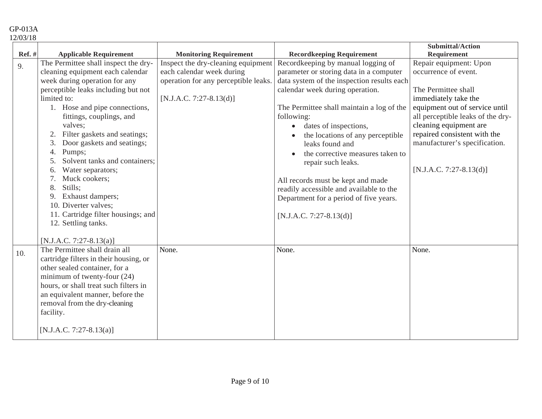GP-013A 12/03/18

|                     |                                                                                                                                                                                                                                                                                                                                                                                                                                                                                                                                                                                             |                                                                                                                                                                       |                                                                                                                                                                                                                                                                                                                                                                                                                                                                                                                                                                                          | <b>Submittal/Action</b>                                                                                                                                                                                                                                                                                            |
|---------------------|---------------------------------------------------------------------------------------------------------------------------------------------------------------------------------------------------------------------------------------------------------------------------------------------------------------------------------------------------------------------------------------------------------------------------------------------------------------------------------------------------------------------------------------------------------------------------------------------|-----------------------------------------------------------------------------------------------------------------------------------------------------------------------|------------------------------------------------------------------------------------------------------------------------------------------------------------------------------------------------------------------------------------------------------------------------------------------------------------------------------------------------------------------------------------------------------------------------------------------------------------------------------------------------------------------------------------------------------------------------------------------|--------------------------------------------------------------------------------------------------------------------------------------------------------------------------------------------------------------------------------------------------------------------------------------------------------------------|
|                     |                                                                                                                                                                                                                                                                                                                                                                                                                                                                                                                                                                                             |                                                                                                                                                                       |                                                                                                                                                                                                                                                                                                                                                                                                                                                                                                                                                                                          |                                                                                                                                                                                                                                                                                                                    |
| <b>Ref.</b> #<br>9. | <b>Applicable Requirement</b><br>The Permittee shall inspect the dry-<br>cleaning equipment each calendar<br>week during operation for any<br>perceptible leaks including but not<br>limited to:<br>1. Hose and pipe connections,<br>fittings, couplings, and<br>valves;<br>Filter gaskets and seatings;<br>2.<br>Door gaskets and seatings;<br>3.<br>Pumps;<br>4.<br>Solvent tanks and containers;<br>5.<br>Water separators;<br>6.<br>7.<br>Muck cookers;<br>Stills;<br>8.<br>9.<br>Exhaust dampers;<br>10. Diverter valves;<br>11. Cartridge filter housings; and<br>12. Settling tanks. | <b>Monitoring Requirement</b><br>Inspect the dry-cleaning equipment<br>each calendar week during<br>operation for any perceptible leaks.<br>$[N.J.A.C. 7:27-8.13(d)]$ | <b>Recordkeeping Requirement</b><br>Recordkeeping by manual logging of<br>parameter or storing data in a computer<br>data system of the inspection results each<br>calendar week during operation.<br>The Permittee shall maintain a log of the<br>following:<br>dates of inspections,<br>$\bullet$<br>the locations of any perceptible<br>leaks found and<br>the corrective measures taken to<br>$\bullet$<br>repair such leaks.<br>All records must be kept and made<br>readily accessible and available to the<br>Department for a period of five years.<br>$[N.J.A.C. 7:27-8.13(d)]$ | <b>Requirement</b><br>Repair equipment: Upon<br>occurrence of event.<br>The Permittee shall<br>immediately take the<br>equipment out of service until<br>all perceptible leaks of the dry-<br>cleaning equipment are<br>repaired consistent with the<br>manufacturer's specification.<br>$[N.J.A.C. 7:27-8.13(d)]$ |
| 10.                 | [N.J.A.C. 7:27-8.13(a)]<br>The Permittee shall drain all<br>cartridge filters in their housing, or<br>other sealed container, for a<br>minimum of twenty-four (24)<br>hours, or shall treat such filters in<br>an equivalent manner, before the<br>removal from the dry-cleaning<br>facility.<br>$[N.J.A.C. 7:27-8.13(a)]$                                                                                                                                                                                                                                                                  | None.                                                                                                                                                                 | None.                                                                                                                                                                                                                                                                                                                                                                                                                                                                                                                                                                                    | None.                                                                                                                                                                                                                                                                                                              |